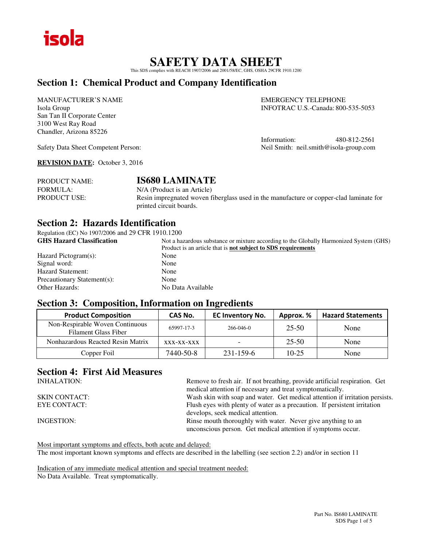

## **SAFETY DATA SHEET**

This SDS complies with REACH 1907/2006 and 2001/58/EC, GHS, OSHA 29CFR 1910.1200

## **Section 1: Chemical Product and Company Identification**

MANUFACTURER'S NAME EMERGENCY TELEPHONE San Tan II Corporate Center 3100 West Ray Road Chandler, Arizona 85226

Isola Group INFOTRAC U.S.-Canada: 800-535-5053

Information: 480-812-2561 Safety Data Sheet Competent Person: Neil Smith: neil.smith@isola-group.com

**REVISION DATE:** October 3, 2016

| PRODUCT NAME:       | <b>IS680 LAMINATE</b>                                                                  |
|---------------------|----------------------------------------------------------------------------------------|
| FORMULA:            | N/A (Product is an Article)                                                            |
| <b>PRODUCT USE:</b> | Resin impregnated woven fiberglass used in the manufacture or copper-clad laminate for |
|                     | printed circuit boards.                                                                |

## **Section 2: Hazards Identification**

Regulation (EC) No 1907/2006 and 29 CFR 1910.1200

| <b>GHS Hazard Classification</b> | Not a hazardous substance or mixture according to the Globally Harmonized System (GHS) |
|----------------------------------|----------------------------------------------------------------------------------------|
|                                  | Product is an article that is <b>not subject to SDS requirements</b>                   |
| Hazard Pictogram(s):             | None                                                                                   |
| Signal word:                     | None                                                                                   |
| Hazard Statement:                | None                                                                                   |
| Precautionary Statement(s):      | None                                                                                   |
| <b>Other Hazards:</b>            | No Data Available                                                                      |
|                                  |                                                                                        |

## **Section 3: Composition, Information on Ingredients**

| <b>Product Composition</b>                                     | CAS No.    | <b>EC Inventory No.</b> | Approx. % | <b>Hazard Statements</b> |
|----------------------------------------------------------------|------------|-------------------------|-----------|--------------------------|
| Non-Respirable Woven Continuous<br><b>Filament Glass Fiber</b> | 65997-17-3 | $266 - 046 - 0$         | 25-50     | None                     |
| Nonhazardous Reacted Resin Matrix                              | XXX-XX-XXX |                         | 25-50     | None                     |
| Copper Foil                                                    | 7440-50-8  | 231-159-6               | $10-25$   | None                     |

# **Section 4: First Aid Measures**

| <b>INHALATION:</b>   | Remove to fresh air. If not breathing, provide artificial respiration. Get                                                   |
|----------------------|------------------------------------------------------------------------------------------------------------------------------|
|                      | medical attention if necessary and treat symptomatically.                                                                    |
| <b>SKIN CONTACT:</b> | Wash skin with soap and water. Get medical attention if irritation persists.                                                 |
| EYE CONTACT:         | Flush eyes with plenty of water as a precaution. If persistent irritation                                                    |
|                      | develops, seek medical attention.                                                                                            |
| INGESTION:           | Rinse mouth thoroughly with water. Never give anything to an<br>unconscious person. Get medical attention if symptoms occur. |
|                      |                                                                                                                              |

Most important symptoms and effects, both acute and delayed: The most important known symptoms and effects are described in the labelling (see section 2.2) and/or in section 11

Indication of any immediate medical attention and special treatment needed: No Data Available. Treat symptomatically.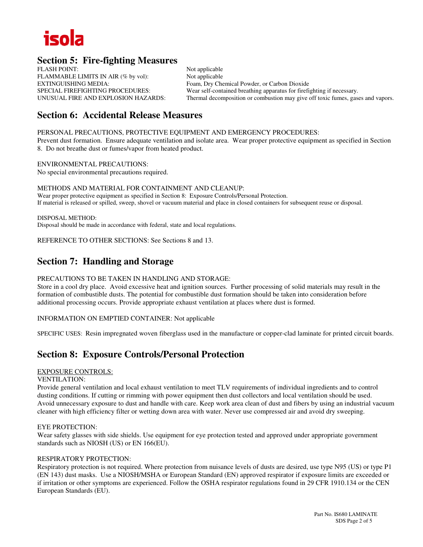

## **Section 5: Fire-fighting Measures**

FLASH POINT: Not applicable FLAMMABLE LIMITS IN AIR (% by vol): Not applicable EXTINGUISHING MEDIA:<br>
Foam, Dry Chemical Powder, or Carbon Dioxide<br>
Foam, Dry Chemical Powder, or Carbon Dioxide<br>
Foam, Pry Chemical Powder, or Carbon Dioxide<br>
Foam, Pry Chemical Powder, or Carbon Dioxide<br>
Foam, Dry Chemic

SPECIAL FIREFIGHTING PROCEDURES: Wear self-contained breathing apparatus for firefighting if necessary.<br>
UNUSUAL FIRE AND EXPLOSION HAZARDS: Thermal decomposition or combustion may give off toxic fumes, gase Thermal decomposition or combustion may give off toxic fumes, gases and vapors.

## **Section 6: Accidental Release Measures**

PERSONAL PRECAUTIONS, PROTECTIVE EQUIPMENT AND EMERGENCY PROCEDURES:

Prevent dust formation. Ensure adequate ventilation and isolate area. Wear proper protective equipment as specified in Section 8. Do not breathe dust or fumes/vapor from heated product.

ENVIRONMENTAL PRECAUTIONS: No special environmental precautions required.

METHODS AND MATERIAL FOR CONTAINMENT AND CLEANUP: Wear proper protective equipment as specified in Section 8: Exposure Controls/Personal Protection. If material is released or spilled, sweep, shovel or vacuum material and place in closed containers for subsequent reuse or disposal.

DISPOSAL METHOD: Disposal should be made in accordance with federal, state and local regulations.

REFERENCE TO OTHER SECTIONS: See Sections 8 and 13.

## **Section 7: Handling and Storage**

## PRECAUTIONS TO BE TAKEN IN HANDLING AND STORAGE:

Store in a cool dry place. Avoid excessive heat and ignition sources. Further processing of solid materials may result in the formation of combustible dusts. The potential for combustible dust formation should be taken into consideration before additional processing occurs. Provide appropriate exhaust ventilation at places where dust is formed.

INFORMATION ON EMPTIED CONTAINER: Not applicable

SPECIFIC USES: Resin impregnated woven fiberglass used in the manufacture or copper-clad laminate for printed circuit boards.

## **Section 8: Exposure Controls/Personal Protection**

## EXPOSURE CONTROLS:

#### VENTILATION:

Provide general ventilation and local exhaust ventilation to meet TLV requirements of individual ingredients and to control dusting conditions. If cutting or rimming with power equipment then dust collectors and local ventilation should be used. Avoid unnecessary exposure to dust and handle with care. Keep work area clean of dust and fibers by using an industrial vacuum cleaner with high efficiency filter or wetting down area with water. Never use compressed air and avoid dry sweeping.

## EYE PROTECTION:

Wear safety glasses with side shields. Use equipment for eye protection tested and approved under appropriate government standards such as NIOSH (US) or EN 166(EU).

## RESPIRATORY PROTECTION:

Respiratory protection is not required. Where protection from nuisance levels of dusts are desired, use type N95 (US) or type P1 (EN 143) dust masks. Use a NIOSH/MSHA or European Standard (EN) approved respirator if exposure limits are exceeded or if irritation or other symptoms are experienced. Follow the OSHA respirator regulations found in 29 CFR 1910.134 or the CEN European Standards (EU).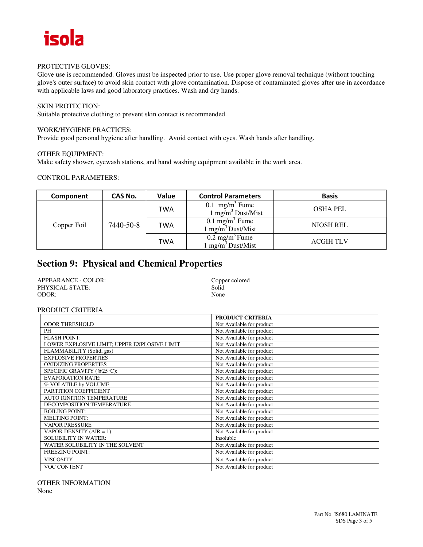

#### PROTECTIVE GLOVES:

Glove use is recommended. Gloves must be inspected prior to use. Use proper glove removal technique (without touching glove's outer surface) to avoid skin contact with glove contamination. Dispose of contaminated gloves after use in accordance with applicable laws and good laboratory practices. Wash and dry hands.

## SKIN PROTECTION:

Suitable protective clothing to prevent skin contact is recommended.

## WORK/HYGIENE PRACTICES:

Provide good personal hygiene after handling. Avoid contact with eyes. Wash hands after handling.

#### OTHER EQUIPMENT:

Make safety shower, eyewash stations, and hand washing equipment available in the work area.

#### CONTROL PARAMETERS:

| Component   | CAS No.   | Value | <b>Control Parameters</b>                                    | <b>Basis</b>     |
|-------------|-----------|-------|--------------------------------------------------------------|------------------|
| Copper Foil | 7440-50-8 | TWA   | $0.1$ mg/m <sup>3</sup> Fume<br>$1 \text{ mg/m}^3$ Dust/Mist | <b>OSHA PEL</b>  |
|             |           | TWA   | $0.1 \text{ mg/m}^3$ Fume<br>$1 \text{ mg/m}^3$ Dust/Mist    | <b>NIOSH REL</b> |
|             |           | TWA   | $0.2 \text{ mg/m}^3$ Fume<br>$1 \text{ mg/m}^3$ Dust/Mist    | <b>ACGIH TLV</b> |

## **Section 9: Physical and Chemical Properties**

| APPEARANCE - COLOR: | Copper colored |
|---------------------|----------------|
| PHYSICAL STATE:     | Solid          |
| ODOR:               | None           |

#### PRODUCT CRITERIA

|                                              | <b>PRODUCT CRITERIA</b>   |
|----------------------------------------------|---------------------------|
| <b>ODOR THRESHOLD</b>                        | Not Available for product |
| PH                                           | Not Available for product |
| <b>FLASH POINT:</b>                          | Not Available for product |
| LOWER EXPLOSIVE LIMIT; UPPER EXPLOSIVE LIMIT | Not Available for product |
| FLAMMABILITY (Solid, gas)                    | Not Available for product |
| <b>EXPLOSIVE PROPERTIES</b>                  | Not Available for product |
| <b>OXIDIZING PROPERTIES</b>                  | Not Available for product |
| SPECIFIC GRAVITY (@25 °C):                   | Not Available for product |
| <b>EVAPORATION RATE:</b>                     | Not Available for product |
| % VOLATILE by VOLUME                         | Not Available for product |
| PARTITION COEFFICIENT                        | Not Available for product |
| <b>AUTO IGNITION TEMPERATURE</b>             | Not Available for product |
| DECOMPOSITION TEMPERATURE                    | Not Available for product |
| <b>BOILING POINT:</b>                        | Not Available for product |
| <b>MELTING POINT:</b>                        | Not Available for product |
| <b>VAPOR PRESSURE</b>                        | Not Available for product |
| VAPOR DENSITY $(AIR = 1)$                    | Not Available for product |
| <b>SOLUBILITY IN WATER:</b>                  | Insoluble                 |
| WATER SOLUBILITY IN THE SOLVENT              | Not Available for product |
| <b>FREEZING POINT:</b>                       | Not Available for product |
| <b>VISCOSITY</b>                             | Not Available for product |
| <b>VOC CONTENT</b>                           | Not Available for product |

OTHER INFORMATION

None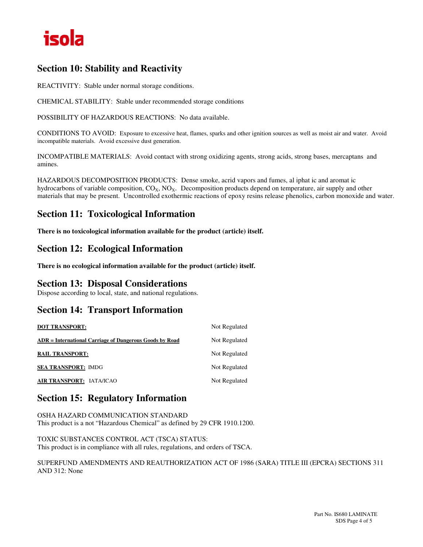

## **Section 10: Stability and Reactivity**

REACTIVITY: Stable under normal storage conditions.

CHEMICAL STABILITY: Stable under recommended storage conditions

POSSIBILITY OF HAZARDOUS REACTIONS: No data available.

CONDITIONS TO AVOID: Exposure to excessive heat, flames, sparks and other ignition sources as well as moist air and water. Avoid incompatible materials. Avoid excessive dust generation.

INCOMPATIBLE MATERIALS: Avoid contact with strong oxidizing agents, strong acids, strong bases, mercaptans and amines.

HAZARDOUS DECOMPOSITION PRODUCTS: Dense smoke, acrid vapors and fumes, al iphat ic and aromat ic hydrocarbons of variable composition,  $CO_X$ ,  $NO_X$ . Decomposition products depend on temperature, air supply and other materials that may be present. Uncontrolled exothermic reactions of epoxy resins release phenolics, carbon monoxide and water.

## **Section 11: Toxicological Information**

**There is no toxicological information available for the product (article) itself.** 

## **Section 12: Ecological Information**

**There is no ecological information available for the product (article) itself.** 

## **Section 13: Disposal Considerations**

Dispose according to local, state, and national regulations.

## **Section 14: Transport Information**

| <b>DOT TRANSPORT:</b>                                   | Not Regulated |
|---------------------------------------------------------|---------------|
| ADR = International Carriage of Dangerous Goods by Road | Not Regulated |
| <b>RAIL TRANSPORT:</b>                                  | Not Regulated |
| <b>SEA TRANSPORT: IMDG</b>                              | Not Regulated |
| AIR TRANSPORT: IATA/ICAO                                | Not Regulated |

## **Section 15: Regulatory Information**

OSHA HAZARD COMMUNICATION STANDARD This product is a not "Hazardous Chemical" as defined by 29 CFR 1910.1200.

TOXIC SUBSTANCES CONTROL ACT (TSCA) STATUS: This product is in compliance with all rules, regulations, and orders of TSCA.

SUPERFUND AMENDMENTS AND REAUTHORIZATION ACT OF 1986 (SARA) TITLE III (EPCRA) SECTIONS 311 AND 312: None